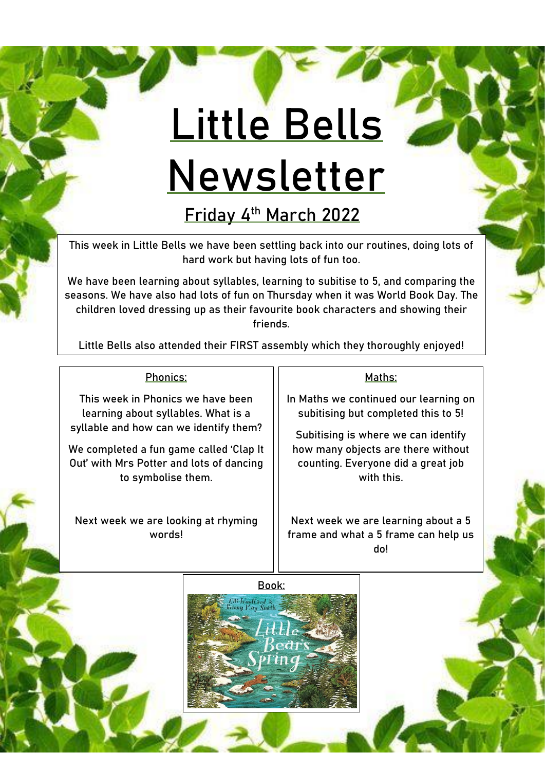## **Little Bells Newsletter**

**Friday 4th March 2022**

This week in Little Bells we have been settling back into our routines, doing lots of hard work but having lots of fun too.

We have been learning about syllables, learning to subitise to 5, and comparing the seasons. We have also had lots of fun on Thursday when it was World Book Day. The children loved dressing up as their favourite book characters and showing their friends.

Little Bells also attended their FIRST assembly which they thoroughly enjoyed!

## Phonics:

This week in Phonics we have been learning about syllables. What is a syllable and how can we identify them?

We completed a fun game called 'Clap It Out' with Mrs Potter and lots of dancing to symbolise them.

Next week we are looking at rhyming words!

## Maths:

In Maths we continued our learning on subitising but completed this to 5!

Subitising is where we can identify how many objects are there without counting. Everyone did a great job with this.

Next week we are learning about a 5 frame and what a 5 frame can help us do!